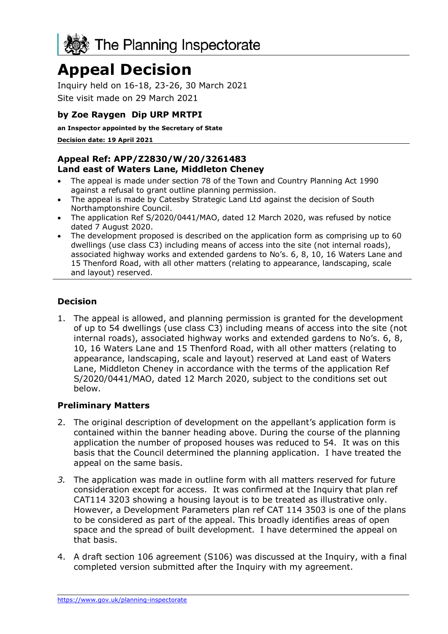

# **Appeal Decision**

Inquiry held on 16-18, 23-26, 30 March 2021 Site visit made on 29 March 2021

## **by Zoe Raygen Dip URP MRTPI**

**an Inspector appointed by the Secretary of State** 

**Decision date: 19 April 2021**

#### **Appeal Ref: APP/Z2830/W/20/3261483 Land east of Waters Lane, Middleton Cheney**

- The appeal is made under section 78 of the Town and Country Planning Act 1990 against a refusal to grant outline planning permission.
- The appeal is made by Catesby Strategic Land Ltd against the decision of South Northamptonshire Council.
- The application Ref S/2020/0441/MAO, dated 12 March 2020, was refused by notice dated 7 August 2020.
- The development proposed is described on the application form as comprising up to 60 dwellings (use class C3) including means of access into the site (not internal roads), associated highway works and extended gardens to No's. 6, 8, 10, 16 Waters Lane and 15 Thenford Road, with all other matters (relating to appearance, landscaping, scale and layout) reserved.

## **Decision**

1. The appeal is allowed, and planning permission is granted for the development of up to 54 dwellings (use class C3) including means of access into the site (not internal roads), associated highway works and extended gardens to No's. 6, 8, 10, 16 Waters Lane and 15 Thenford Road, with all other matters (relating to appearance, landscaping, scale and layout) reserved at Land east of Waters Lane, Middleton Cheney in accordance with the terms of the application Ref S/2020/0441/MAO, dated 12 March 2020, subject to the conditions set out below.

#### **Preliminary Matters**

- 2. The original description of development on the appellant's application form is contained within the banner heading above. During the course of the planning application the number of proposed houses was reduced to 54. It was on this basis that the Council determined the planning application. I have treated the appeal on the same basis.
- *3.* The application was made in outline form with all matters reserved for future consideration except for access. It was confirmed at the Inquiry that plan ref CAT114 3203 showing a housing layout is to be treated as illustrative only. However, a Development Parameters plan ref CAT 114 3503 is one of the plans to be considered as part of the appeal. This broadly identifies areas of open space and the spread of built development. I have determined the appeal on that basis.
- 4. A draft section 106 agreement (S106) was discussed at the Inquiry, with a final completed version submitted after the Inquiry with my agreement.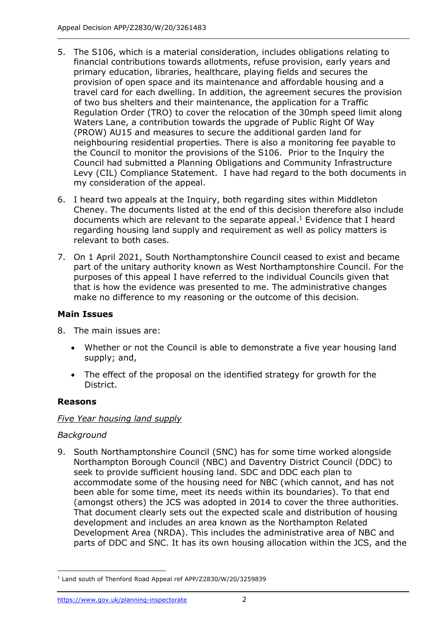- 5. The S106, which is a material consideration, includes obligations relating to financial contributions towards allotments, refuse provision, early years and primary education, libraries, healthcare, playing fields and secures the provision of open space and its maintenance and affordable housing and a travel card for each dwelling. In addition, the agreement secures the provision of two bus shelters and their maintenance, the application for a Traffic Regulation Order (TRO) to cover the relocation of the 30mph speed limit along Waters Lane, a contribution towards the upgrade of Public Right Of Way (PROW) AU15 and measures to secure the additional garden land for neighbouring residential properties. There is also a monitoring fee payable to the Council to monitor the provisions of the S106. Prior to the Inquiry the Council had submitted a Planning Obligations and Community Infrastructure Levy (CIL) Compliance Statement. I have had regard to the both documents in my consideration of the appeal.
- 6. I heard two appeals at the Inquiry, both regarding sites within Middleton Cheney. The documents listed at the end of this decision therefore also include documents which are relevant to the separate appeal. <sup>1</sup> Evidence that I heard regarding housing land supply and requirement as well as policy matters is relevant to both cases.
- 7. On 1 April 2021, South Northamptonshire Council ceased to exist and became part of the unitary authority known as West Northamptonshire Council. For the purposes of this appeal I have referred to the individual Councils given that that is how the evidence was presented to me. The administrative changes make no difference to my reasoning or the outcome of this decision.

## **Main Issues**

- 8. The main issues are:
	- Whether or not the Council is able to demonstrate a five year housing land supply; and,
	- The effect of the proposal on the identified strategy for growth for the District.

## **Reasons**

## *Five Year housing land supply*

## *Background*

9. South Northamptonshire Council (SNC) has for some time worked alongside Northampton Borough Council (NBC) and Daventry District Council (DDC) to seek to provide sufficient housing land. SDC and DDC each plan to accommodate some of the housing need for NBC (which cannot, and has not been able for some time, meet its needs within its boundaries). To that end (amongst others) the JCS was adopted in 2014 to cover the three authorities. That document clearly sets out the expected scale and distribution of housing development and includes an area known as the Northampton Related Development Area (NRDA). This includes the administrative area of NBC and parts of DDC and SNC. It has its own housing allocation within the JCS, and the

<sup>&</sup>lt;sup>1</sup> Land south of Thenford Road Appeal ref APP/Z2830/W/20/3259839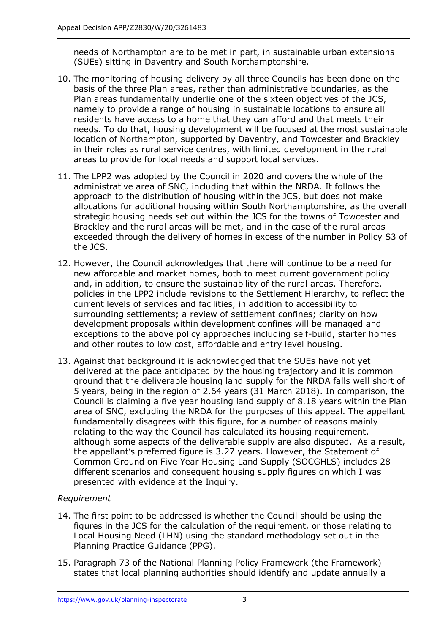needs of Northampton are to be met in part, in sustainable urban extensions (SUEs) sitting in Daventry and South Northamptonshire.

- 10. The monitoring of housing delivery by all three Councils has been done on the basis of the three Plan areas, rather than administrative boundaries, as the Plan areas fundamentally underlie one of the sixteen objectives of the JCS, namely to provide a range of housing in sustainable locations to ensure all residents have access to a home that they can afford and that meets their needs. To do that, housing development will be focused at the most sustainable location of Northampton, supported by Daventry, and Towcester and Brackley in their roles as rural service centres, with limited development in the rural areas to provide for local needs and support local services.
- 11. The LPP2 was adopted by the Council in 2020 and covers the whole of the administrative area of SNC, including that within the NRDA. It follows the approach to the distribution of housing within the JCS, but does not make allocations for additional housing within South Northamptonshire, as the overall strategic housing needs set out within the JCS for the towns of Towcester and Brackley and the rural areas will be met, and in the case of the rural areas exceeded through the delivery of homes in excess of the number in Policy S3 of the JCS.
- 12. However, the Council acknowledges that there will continue to be a need for new affordable and market homes, both to meet current government policy and, in addition, to ensure the sustainability of the rural areas. Therefore, policies in the LPP2 include revisions to the Settlement Hierarchy, to reflect the current levels of services and facilities, in addition to accessibility to surrounding settlements; a review of settlement confines; clarity on how development proposals within development confines will be managed and exceptions to the above policy approaches including self-build, starter homes and other routes to low cost, affordable and entry level housing.
- 13. Against that background it is acknowledged that the SUEs have not yet delivered at the pace anticipated by the housing trajectory and it is common ground that the deliverable housing land supply for the NRDA falls well short of 5 years, being in the region of 2.64 years (31 March 2018). In comparison, the Council is claiming a five year housing land supply of 8.18 years within the Plan area of SNC, excluding the NRDA for the purposes of this appeal. The appellant fundamentally disagrees with this figure, for a number of reasons mainly relating to the way the Council has calculated its housing requirement, although some aspects of the deliverable supply are also disputed. As a result, the appellant's preferred figure is 3.27 years. However, the Statement of Common Ground on Five Year Housing Land Supply (SOCGHLS) includes 28 different scenarios and consequent housing supply figures on which I was presented with evidence at the Inquiry.

## *Requirement*

- 14. The first point to be addressed is whether the Council should be using the figures in the JCS for the calculation of the requirement, or those relating to Local Housing Need (LHN) using the standard methodology set out in the Planning Practice Guidance (PPG).
- 15. Paragraph 73 of the National Planning Policy Framework (the Framework) states that local planning authorities should identify and update annually a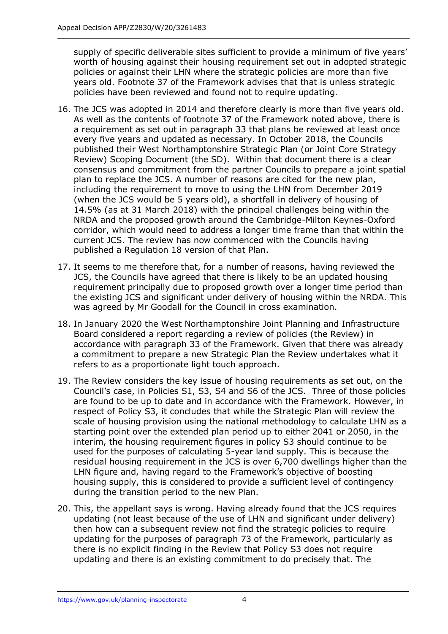supply of specific deliverable sites sufficient to provide a minimum of five years' worth of housing against their housing requirement set out in adopted strategic policies or against their LHN where the strategic policies are more than five years old. Footnote 37 of the Framework advises that that is unless strategic policies have been reviewed and found not to require updating.

- 16. The JCS was adopted in 2014 and therefore clearly is more than five years old. As well as the contents of footnote 37 of the Framework noted above, there is a requirement as set out in paragraph 33 that plans be reviewed at least once every five years and updated as necessary. In October 2018, the Councils published their West Northamptonshire Strategic Plan (or Joint Core Strategy Review) Scoping Document (the SD). Within that document there is a clear consensus and commitment from the partner Councils to prepare a joint spatial plan to replace the JCS. A number of reasons are cited for the new plan, including the requirement to move to using the LHN from December 2019 (when the JCS would be 5 years old), a shortfall in delivery of housing of 14.5% (as at 31 March 2018) with the principal challenges being within the NRDA and the proposed growth around the Cambridge-Milton Keynes-Oxford corridor, which would need to address a longer time frame than that within the current JCS. The review has now commenced with the Councils having published a Regulation 18 version of that Plan.
- 17. It seems to me therefore that, for a number of reasons, having reviewed the JCS, the Councils have agreed that there is likely to be an updated housing requirement principally due to proposed growth over a longer time period than the existing JCS and significant under delivery of housing within the NRDA. This was agreed by Mr Goodall for the Council in cross examination.
- 18. In January 2020 the West Northamptonshire Joint Planning and Infrastructure Board considered a report regarding a review of policies (the Review) in accordance with paragraph 33 of the Framework. Given that there was already a commitment to prepare a new Strategic Plan the Review undertakes what it refers to as a proportionate light touch approach.
- 19. The Review considers the key issue of housing requirements as set out, on the Council's case, in Policies S1, S3, S4 and S6 of the JCS. Three of those policies are found to be up to date and in accordance with the Framework. However, in respect of Policy S3, it concludes that while the Strategic Plan will review the scale of housing provision using the national methodology to calculate LHN as a starting point over the extended plan period up to either 2041 or 2050, in the interim, the housing requirement figures in policy S3 should continue to be used for the purposes of calculating 5-year land supply. This is because the residual housing requirement in the JCS is over 6,700 dwellings higher than the LHN figure and, having regard to the Framework's objective of boosting housing supply, this is considered to provide a sufficient level of contingency during the transition period to the new Plan.
- 20. This, the appellant says is wrong. Having already found that the JCS requires updating (not least because of the use of LHN and significant under delivery) then how can a subsequent review not find the strategic policies to require updating for the purposes of paragraph 73 of the Framework, particularly as there is no explicit finding in the Review that Policy S3 does not require updating and there is an existing commitment to do precisely that. The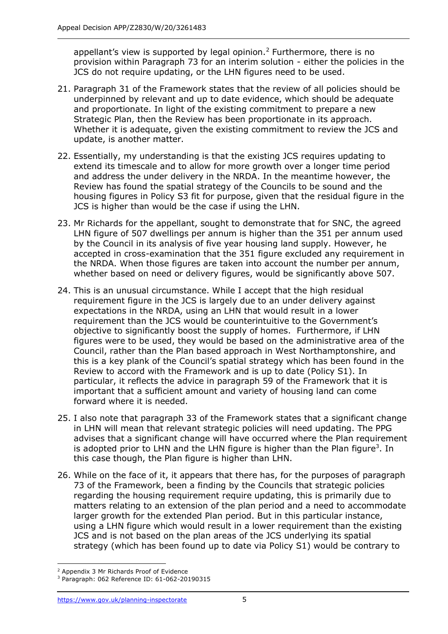appellant's view is supported by legal opinion.<sup>2</sup> Furthermore, there is no provision within Paragraph 73 for an interim solution - either the policies in the JCS do not require updating, or the LHN figures need to be used.

- 21. Paragraph 31 of the Framework states that the review of all policies should be underpinned by relevant and up to date evidence, which should be adequate and proportionate. In light of the existing commitment to prepare a new Strategic Plan, then the Review has been proportionate in its approach. Whether it is adequate, given the existing commitment to review the JCS and update, is another matter.
- 22. Essentially, my understanding is that the existing JCS requires updating to extend its timescale and to allow for more growth over a longer time period and address the under delivery in the NRDA. In the meantime however, the Review has found the spatial strategy of the Councils to be sound and the housing figures in Policy S3 fit for purpose, given that the residual figure in the JCS is higher than would be the case if using the LHN.
- 23. Mr Richards for the appellant, sought to demonstrate that for SNC, the agreed LHN figure of 507 dwellings per annum is higher than the 351 per annum used by the Council in its analysis of five year housing land supply. However, he accepted in cross-examination that the 351 figure excluded any requirement in the NRDA. When those figures are taken into account the number per annum, whether based on need or delivery figures, would be significantly above 507.
- 24. This is an unusual circumstance. While I accept that the high residual requirement figure in the JCS is largely due to an under delivery against expectations in the NRDA, using an LHN that would result in a lower requirement than the JCS would be counterintuitive to the Government's objective to significantly boost the supply of homes. Furthermore, if LHN figures were to be used, they would be based on the administrative area of the Council, rather than the Plan based approach in West Northamptonshire, and this is a key plank of the Council's spatial strategy which has been found in the Review to accord with the Framework and is up to date (Policy S1). In particular, it reflects the advice in paragraph 59 of the Framework that it is important that a sufficient amount and variety of housing land can come forward where it is needed.
- 25. I also note that paragraph 33 of the Framework states that a significant change in LHN will mean that relevant strategic policies will need updating. The PPG advises that a significant change will have occurred where the Plan requirement is adopted prior to LHN and the LHN figure is higher than the Plan figure<sup>3</sup>. In this case though, the Plan figure is higher than LHN.
- 26. While on the face of it, it appears that there has, for the purposes of paragraph 73 of the Framework, been a finding by the Councils that strategic policies regarding the housing requirement require updating, this is primarily due to matters relating to an extension of the plan period and a need to accommodate larger growth for the extended Plan period. But in this particular instance, using a LHN figure which would result in a lower requirement than the existing JCS and is not based on the plan areas of the JCS underlying its spatial strategy (which has been found up to date via Policy S1) would be contrary to

<sup>2</sup> Appendix 3 Mr Richards Proof of Evidence

<sup>3</sup> Paragraph: 062 Reference ID: 61-062-20190315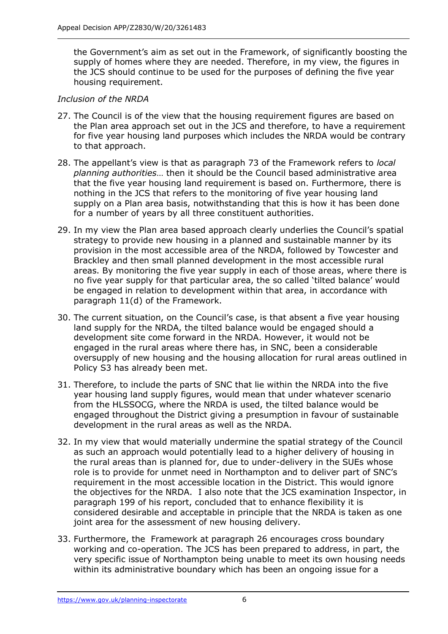the Government's aim as set out in the Framework, of significantly boosting the supply of homes where they are needed. Therefore, in my view, the figures in the JCS should continue to be used for the purposes of defining the five year housing requirement.

## *Inclusion of the NRDA*

- 27. The Council is of the view that the housing requirement figures are based on the Plan area approach set out in the JCS and therefore, to have a requirement for five year housing land purposes which includes the NRDA would be contrary to that approach.
- 28. The appellant's view is that as paragraph 73 of the Framework refers to *local planning authorities*… then it should be the Council based administrative area that the five year housing land requirement is based on. Furthermore, there is nothing in the JCS that refers to the monitoring of five year housing land supply on a Plan area basis, notwithstanding that this is how it has been done for a number of years by all three constituent authorities.
- 29. In my view the Plan area based approach clearly underlies the Council's spatial strategy to provide new housing in a planned and sustainable manner by its provision in the most accessible area of the NRDA, followed by Towcester and Brackley and then small planned development in the most accessible rural areas. By monitoring the five year supply in each of those areas, where there is no five year supply for that particular area, the so called 'tilted balance' would be engaged in relation to development within that area, in accordance with paragraph 11(d) of the Framework.
- 30. The current situation, on the Council's case, is that absent a five year housing land supply for the NRDA, the tilted balance would be engaged should a development site come forward in the NRDA. However, it would not be engaged in the rural areas where there has, in SNC, been a considerable oversupply of new housing and the housing allocation for rural areas outlined in Policy S3 has already been met.
- 31. Therefore, to include the parts of SNC that lie within the NRDA into the five year housing land supply figures, would mean that under whatever scenario from the HLSSOCG, where the NRDA is used, the tilted balance would be engaged throughout the District giving a presumption in favour of sustainable development in the rural areas as well as the NRDA.
- 32. In my view that would materially undermine the spatial strategy of the Council as such an approach would potentially lead to a higher delivery of housing in the rural areas than is planned for, due to under-delivery in the SUEs whose role is to provide for unmet need in Northampton and to deliver part of SNC's requirement in the most accessible location in the District. This would ignore the objectives for the NRDA. I also note that the JCS examination Inspector, in paragraph 199 of his report, concluded that to enhance flexibility it is considered desirable and acceptable in principle that the NRDA is taken as one joint area for the assessment of new housing delivery.
- 33. Furthermore, the Framework at paragraph 26 encourages cross boundary working and co-operation. The JCS has been prepared to address, in part, the very specific issue of Northampton being unable to meet its own housing needs within its administrative boundary which has been an ongoing issue for a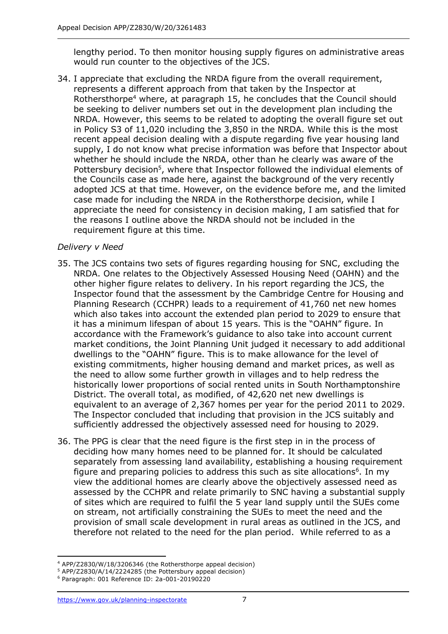lengthy period. To then monitor housing supply figures on administrative areas would run counter to the objectives of the JCS.

34. I appreciate that excluding the NRDA figure from the overall requirement, represents a different approach from that taken by the Inspector at Rothersthorpe<sup>4</sup> where, at paragraph 15, he concludes that the Council should be seeking to deliver numbers set out in the development plan including the NRDA. However, this seems to be related to adopting the overall figure set out in Policy S3 of 11,020 including the 3,850 in the NRDA. While this is the most recent appeal decision dealing with a dispute regarding five year housing land supply, I do not know what precise information was before that Inspector about whether he should include the NRDA, other than he clearly was aware of the Pottersbury decision<sup>5</sup>, where that Inspector followed the individual elements of the Councils case as made here, against the background of the very recently adopted JCS at that time. However, on the evidence before me, and the limited case made for including the NRDA in the Rothersthorpe decision, while I appreciate the need for consistency in decision making, I am satisfied that for the reasons I outline above the NRDA should not be included in the requirement figure at this time.

## *Delivery v Need*

- 35. The JCS contains two sets of figures regarding housing for SNC, excluding the NRDA. One relates to the Objectively Assessed Housing Need (OAHN) and the other higher figure relates to delivery. In his report regarding the JCS, the Inspector found that the assessment by the Cambridge Centre for Housing and Planning Research (CCHPR) leads to a requirement of 41,760 net new homes which also takes into account the extended plan period to 2029 to ensure that it has a minimum lifespan of about 15 years. This is the "OAHN" figure. In accordance with the Framework's guidance to also take into account current market conditions, the Joint Planning Unit judged it necessary to add additional dwellings to the "OAHN" figure. This is to make allowance for the level of existing commitments, higher housing demand and market prices, as well as the need to allow some further growth in villages and to help redress the historically lower proportions of social rented units in South Northamptonshire District. The overall total, as modified, of 42,620 net new dwellings is equivalent to an average of 2,367 homes per year for the period 2011 to 2029. The Inspector concluded that including that provision in the JCS suitably and sufficiently addressed the objectively assessed need for housing to 2029.
- 36. The PPG is clear that the need figure is the first step in in the process of deciding how many homes need to be planned for. It should be calculated separately from assessing land availability, establishing a housing requirement figure and preparing policies to address this such as site allocations $6$ . In my view the additional homes are clearly above the objectively assessed need as assessed by the CCHPR and relate primarily to SNC having a substantial supply of sites which are required to fulfil the 5 year land supply until the SUEs come on stream, not artificially constraining the SUEs to meet the need and the provision of small scale development in rural areas as outlined in the JCS, and therefore not related to the need for the plan period. While referred to as a

<sup>4</sup> APP/Z2830/W/18/3206346 (the Rothersthorpe appeal decision)

<sup>&</sup>lt;sup>5</sup> APP/Z2830/A/14/2224285 (the Pottersbury appeal decision)

<sup>6</sup> Paragraph: 001 Reference ID: 2a-001-20190220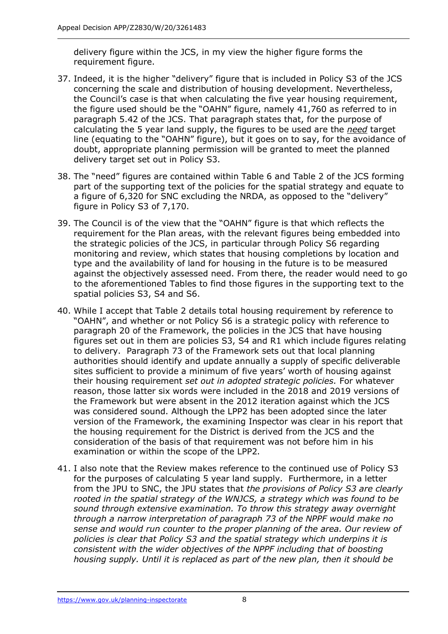delivery figure within the JCS, in my view the higher figure forms the requirement figure.

- 37. Indeed, it is the higher "delivery" figure that is included in Policy S3 of the JCS concerning the scale and distribution of housing development. Nevertheless, the Council's case is that when calculating the five year housing requirement, the figure used should be the "OAHN" figure, namely 41,760 as referred to in paragraph 5.42 of the JCS. That paragraph states that, for the purpose of calculating the 5 year land supply, the figures to be used are the *need* target line (equating to the "OAHN" figure), but it goes on to say, for the avoidance of doubt, appropriate planning permission will be granted to meet the planned delivery target set out in Policy S3.
- 38. The "need" figures are contained within Table 6 and Table 2 of the JCS forming part of the supporting text of the policies for the spatial strategy and equate to a figure of 6,320 for SNC excluding the NRDA, as opposed to the "delivery" figure in Policy S3 of 7,170.
- 39. The Council is of the view that the "OAHN" figure is that which reflects the requirement for the Plan areas, with the relevant figures being embedded into the strategic policies of the JCS, in particular through Policy S6 regarding monitoring and review, which states that housing completions by location and type and the availability of land for housing in the future is to be measured against the objectively assessed need. From there, the reader would need to go to the aforementioned Tables to find those figures in the supporting text to the spatial policies S3, S4 and S6.
- 40. While I accept that Table 2 details total housing requirement by reference to "OAHN", and whether or not Policy S6 is a strategic policy with reference to paragraph 20 of the Framework, the policies in the JCS that have housing figures set out in them are policies S3, S4 and R1 which include figures relating to delivery. Paragraph 73 of the Framework sets out that local planning authorities should identify and update annually a supply of specific deliverable sites sufficient to provide a minimum of five years' worth of housing against their housing requirement *set out in adopted strategic policies.* For whatever reason, those latter six words were included in the 2018 and 2019 versions of the Framework but were absent in the 2012 iteration against which the JCS was considered sound. Although the LPP2 has been adopted since the later version of the Framework, the examining Inspector was clear in his report that the housing requirement for the District is derived from the JCS and the consideration of the basis of that requirement was not before him in his examination or within the scope of the LPP2.
- 41. I also note that the Review makes reference to the continued use of Policy S3 for the purposes of calculating 5 year land supply. Furthermore, in a letter from the JPU to SNC, the JPU states that *the provisions of Policy S3 are clearly rooted in the spatial strategy of the WNJCS, a strategy which was found to be sound through extensive examination. To throw this strategy away overnight through a narrow interpretation of paragraph 73 of the NPPF would make no sense and would run counter to the proper planning of the area. Our review of policies is clear that Policy S3 and the spatial strategy which underpins it is consistent with the wider objectives of the NPPF including that of boosting housing supply. Until it is replaced as part of the new plan, then it should be*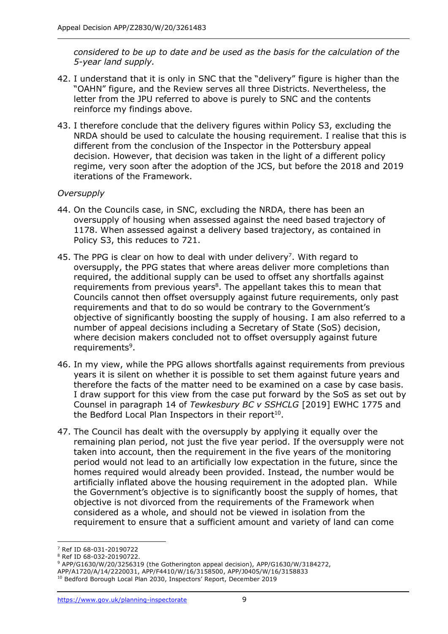*considered to be up to date and be used as the basis for the calculation of the 5-year land supply.* 

- 42. I understand that it is only in SNC that the "delivery" figure is higher than the "OAHN" figure, and the Review serves all three Districts. Nevertheless, the letter from the JPU referred to above is purely to SNC and the contents reinforce my findings above.
- 43. I therefore conclude that the delivery figures within Policy S3, excluding the NRDA should be used to calculate the housing requirement. I realise that this is different from the conclusion of the Inspector in the Pottersbury appeal decision. However, that decision was taken in the light of a different policy regime, very soon after the adoption of the JCS, but before the 2018 and 2019 iterations of the Framework.

## *Oversupply*

- 44. On the Councils case, in SNC, excluding the NRDA, there has been an oversupply of housing when assessed against the need based trajectory of 1178. When assessed against a delivery based trajectory, as contained in Policy S3, this reduces to 721.
- 45. The PPG is clear on how to deal with under delivery<sup>7</sup>. With regard to oversupply, the PPG states that where areas deliver more completions than required, the additional supply can be used to offset any shortfalls against requirements from previous years<sup>8</sup>. The appellant takes this to mean that Councils cannot then offset oversupply against future requirements, only past requirements and that to do so would be contrary to the Government's objective of significantly boosting the supply of housing. I am also referred to a number of appeal decisions including a Secretary of State (SoS) decision, where decision makers concluded not to offset oversupply against future requirements<sup>9</sup>.
- 46. In my view, while the PPG allows shortfalls against requirements from previous years it is silent on whether it is possible to set them against future years and therefore the facts of the matter need to be examined on a case by case basis. I draw support for this view from the case put forward by the SoS as set out by Counsel in paragraph 14 of *Tewkesbury BC v SSHCLG* [2019] EWHC 1775 and the Bedford Local Plan Inspectors in their report $^{10}$ .
- 47. The Council has dealt with the oversupply by applying it equally over the remaining plan period, not just the five year period. If the oversupply were not taken into account, then the requirement in the five years of the monitoring period would not lead to an artificially low expectation in the future, since the homes required would already been provided. Instead, the number would be artificially inflated above the housing requirement in the adopted plan. While the Government's objective is to significantly boost the supply of homes, that objective is not divorced from the requirements of the Framework when considered as a whole, and should not be viewed in isolation from the requirement to ensure that a sufficient amount and variety of land can come

<sup>7</sup> Ref ID 68-031-20190722

<sup>8</sup> Ref ID 68-032-20190722.

<sup>9</sup> APP/G1630/W/20/3256319 (the Gotherington appeal decision), APP/G1630/W/3184272,

APP/A1720/A/14/2220031, APP/F4410/W/16/3158500, APP/J0405/W/16/3158833

<sup>&</sup>lt;sup>10</sup> Bedford Borough Local Plan 2030, Inspectors' Report, December 2019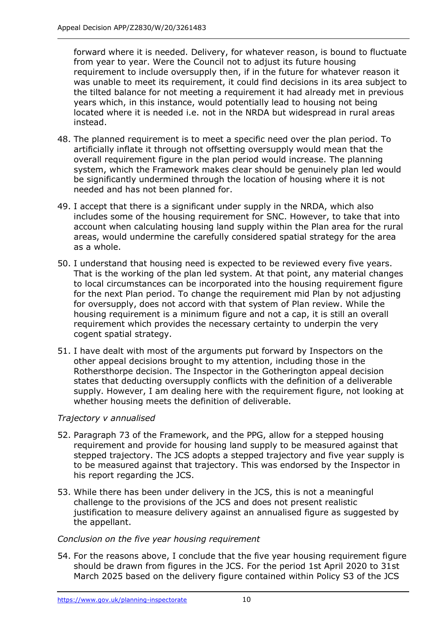forward where it is needed. Delivery, for whatever reason, is bound to fluctuate from year to year. Were the Council not to adjust its future housing requirement to include oversupply then, if in the future for whatever reason it was unable to meet its requirement, it could find decisions in its area subject to the tilted balance for not meeting a requirement it had already met in previous years which, in this instance, would potentially lead to housing not being located where it is needed i.e. not in the NRDA but widespread in rural areas instead.

- 48. The planned requirement is to meet a specific need over the plan period. To artificially inflate it through not offsetting oversupply would mean that the overall requirement figure in the plan period would increase. The planning system, which the Framework makes clear should be genuinely plan led would be significantly undermined through the location of housing where it is not needed and has not been planned for.
- 49. I accept that there is a significant under supply in the NRDA, which also includes some of the housing requirement for SNC. However, to take that into account when calculating housing land supply within the Plan area for the rural areas, would undermine the carefully considered spatial strategy for the area as a whole.
- 50. I understand that housing need is expected to be reviewed every five years. That is the working of the plan led system. At that point, any material changes to local circumstances can be incorporated into the housing requirement figure for the next Plan period. To change the requirement mid Plan by not adjusting for oversupply, does not accord with that system of Plan review. While the housing requirement is a minimum figure and not a cap, it is still an overall requirement which provides the necessary certainty to underpin the very cogent spatial strategy.
- 51. I have dealt with most of the arguments put forward by Inspectors on the other appeal decisions brought to my attention, including those in the Rothersthorpe decision. The Inspector in the Gotherington appeal decision states that deducting oversupply conflicts with the definition of a deliverable supply. However, I am dealing here with the requirement figure, not looking at whether housing meets the definition of deliverable.

## *Trajectory v annualised*

- 52. Paragraph 73 of the Framework, and the PPG, allow for a stepped housing requirement and provide for housing land supply to be measured against that stepped trajectory. The JCS adopts a stepped trajectory and five year supply is to be measured against that trajectory. This was endorsed by the Inspector in his report regarding the JCS.
- 53. While there has been under delivery in the JCS, this is not a meaningful challenge to the provisions of the JCS and does not present realistic justification to measure delivery against an annualised figure as suggested by the appellant.

## *Conclusion on the five year housing requirement*

54. For the reasons above, I conclude that the five year housing requirement figure should be drawn from figures in the JCS. For the period 1st April 2020 to 31st March 2025 based on the delivery figure contained within Policy S3 of the JCS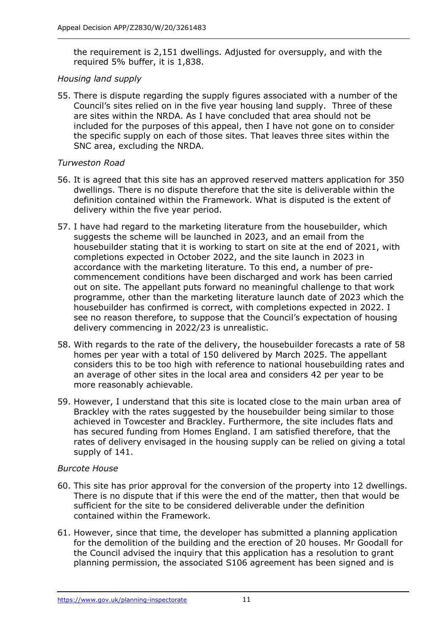the requirement is 2,151 dwellings. Adjusted for oversupply, and with the required 5% buffer, it is 1,838.

#### *Housing land supply*

55. There is dispute regarding the supply figures associated with a number of the Council's sites relied on in the five year housing land supply. Three of these are sites within the NRDA. As I have concluded that area should not be included for the purposes of this appeal, then I have not gone on to consider the specific supply on each of those sites. That leaves three sites within the SNC area, excluding the NRDA.

## *Turweston Road*

- 56. It is agreed that this site has an approved reserved matters application for 350 dwellings. There is no dispute therefore that the site is deliverable within the definition contained within the Framework. What is disputed is the extent of delivery within the five year period.
- 57. I have had regard to the marketing literature from the housebuilder, which suggests the scheme will be launched in 2023, and an email from the housebuilder stating that it is working to start on site at the end of 2021, with completions expected in October 2022, and the site launch in 2023 in accordance with the marketing literature. To this end, a number of precommencement conditions have been discharged and work has been carried out on site. The appellant puts forward no meaningful challenge to that work programme, other than the marketing literature launch date of 2023 which the housebuilder has confirmed is correct, with completions expected in 2022. I see no reason therefore, to suppose that the Council's expectation of housing delivery commencing in 2022/23 is unrealistic.
- 58. With regards to the rate of the delivery, the housebuilder forecasts a rate of 58 homes per year with a total of 150 delivered by March 2025. The appellant considers this to be too high with reference to national housebuilding rates and an average of other sites in the local area and considers 42 per year to be more reasonably achievable.
- 59. However, I understand that this site is located close to the main urban area of Brackley with the rates suggested by the housebuilder being similar to those achieved in Towcester and Brackley. Furthermore, the site includes flats and has secured funding from Homes England. I am satisfied therefore, that the rates of delivery envisaged in the housing supply can be relied on giving a total supply of 141.

#### *Burcote House*

- 60. This site has prior approval for the conversion of the property into 12 dwellings. There is no dispute that if this were the end of the matter, then that would be sufficient for the site to be considered deliverable under the definition contained within the Framework.
- 61. However, since that time, the developer has submitted a planning application for the demolition of the building and the erection of 20 houses. Mr Goodall for the Council advised the inquiry that this application has a resolution to grant planning permission, the associated S106 agreement has been signed and is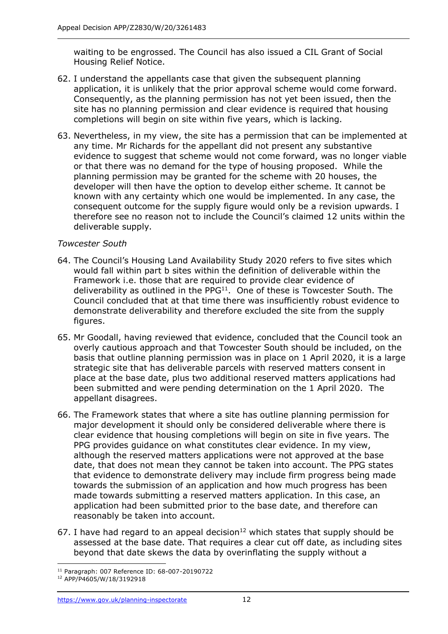waiting to be engrossed. The Council has also issued a CIL Grant of Social Housing Relief Notice.

- 62. I understand the appellants case that given the subsequent planning application, it is unlikely that the prior approval scheme would come forward. Consequently, as the planning permission has not yet been issued, then the site has no planning permission and clear evidence is required that housing completions will begin on site within five years, which is lacking.
- 63. Nevertheless, in my view, the site has a permission that can be implemented at any time. Mr Richards for the appellant did not present any substantive evidence to suggest that scheme would not come forward, was no longer viable or that there was no demand for the type of housing proposed. While the planning permission may be granted for the scheme with 20 houses, the developer will then have the option to develop either scheme. It cannot be known with any certainty which one would be implemented. In any case, the consequent outcome for the supply figure would only be a revision upwards. I therefore see no reason not to include the Council's claimed 12 units within the deliverable supply.

## *Towcester South*

- 64. The Council's Housing Land Availability Study 2020 refers to five sites which would fall within part b sites within the definition of deliverable within the Framework i.e. those that are required to provide clear evidence of deliverability as outlined in the  $PPG<sup>11</sup>$ . One of these is Towcester South. The Council concluded that at that time there was insufficiently robust evidence to demonstrate deliverability and therefore excluded the site from the supply figures.
- 65. Mr Goodall, having reviewed that evidence, concluded that the Council took an overly cautious approach and that Towcester South should be included, on the basis that outline planning permission was in place on 1 April 2020, it is a large strategic site that has deliverable parcels with reserved matters consent in place at the base date, plus two additional reserved matters applications had been submitted and were pending determination on the 1 April 2020. The appellant disagrees.
- 66. The Framework states that where a site has outline planning permission for major development it should only be considered deliverable where there is clear evidence that housing completions will begin on site in five years. The PPG provides guidance on what constitutes clear evidence. In my view, although the reserved matters applications were not approved at the base date, that does not mean they cannot be taken into account. The PPG states that evidence to demonstrate delivery may include firm progress being made towards the submission of an application and how much progress has been made towards submitting a reserved matters application. In this case, an application had been submitted prior to the base date, and therefore can reasonably be taken into account.
- 67. I have had regard to an appeal decision<sup>12</sup> which states that supply should be assessed at the base date. That requires a clear cut off date, as including sites beyond that date skews the data by overinflating the supply without a

<sup>11</sup> Paragraph: 007 Reference ID: 68-007-20190722

<sup>12</sup> APP/P4605/W/18/3192918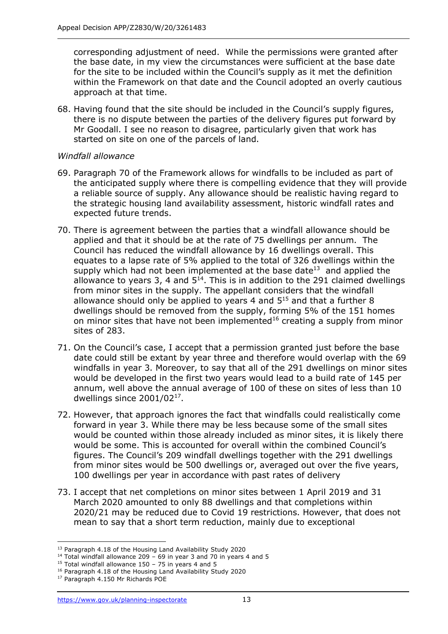corresponding adjustment of need. While the permissions were granted after the base date, in my view the circumstances were sufficient at the base date for the site to be included within the Council's supply as it met the definition within the Framework on that date and the Council adopted an overly cautious approach at that time.

68. Having found that the site should be included in the Council's supply figures, there is no dispute between the parties of the delivery figures put forward by Mr Goodall. I see no reason to disagree, particularly given that work has started on site on one of the parcels of land.

#### *Windfall allowance*

- 69. Paragraph 70 of the Framework allows for windfalls to be included as part of the anticipated supply where there is compelling evidence that they will provide a reliable source of supply. Any allowance should be realistic having regard to the strategic housing land availability assessment, historic windfall rates and expected future trends.
- 70. There is agreement between the parties that a windfall allowance should be applied and that it should be at the rate of 75 dwellings per annum. The Council has reduced the windfall allowance by 16 dwellings overall. This equates to a lapse rate of 5% applied to the total of 326 dwellings within the supply which had not been implemented at the base date $^{13}$  and applied the allowance to years 3, 4 and  $5^{14}$ . This is in addition to the 291 claimed dwellings from minor sites in the supply. The appellant considers that the windfall allowance should only be applied to years 4 and  $5<sup>15</sup>$  and that a further 8 dwellings should be removed from the supply, forming 5% of the 151 homes on minor sites that have not been implemented<sup>16</sup> creating a supply from minor sites of 283.
- 71. On the Council's case, I accept that a permission granted just before the base date could still be extant by year three and therefore would overlap with the 69 windfalls in year 3. Moreover, to say that all of the 291 dwellings on minor sites would be developed in the first two years would lead to a build rate of 145 per annum, well above the annual average of 100 of these on sites of less than 10 dwellings since 2001/02<sup>17</sup> .
- 72. However, that approach ignores the fact that windfalls could realistically come forward in year 3. While there may be less because some of the small sites would be counted within those already included as minor sites, it is likely there would be some. This is accounted for overall within the combined Council's figures. The Council's 209 windfall dwellings together with the 291 dwellings from minor sites would be 500 dwellings or, averaged out over the five years, 100 dwellings per year in accordance with past rates of delivery
- 73. I accept that net completions on minor sites between 1 April 2019 and 31 March 2020 amounted to only 88 dwellings and that completions within 2020/21 may be reduced due to Covid 19 restrictions. However, that does not mean to say that a short term reduction, mainly due to exceptional

<sup>&</sup>lt;sup>13</sup> Paragraph 4.18 of the Housing Land Availability Study 2020

 $14$  Total windfall allowance 209 – 69 in year 3 and 70 in years 4 and 5

<sup>&</sup>lt;sup>15</sup> Total windfall allowance 150 – 75 in years 4 and 5

<sup>&</sup>lt;sup>16</sup> Paragraph 4.18 of the Housing Land Availability Study 2020

<sup>17</sup> Paragraph 4.150 Mr Richards POE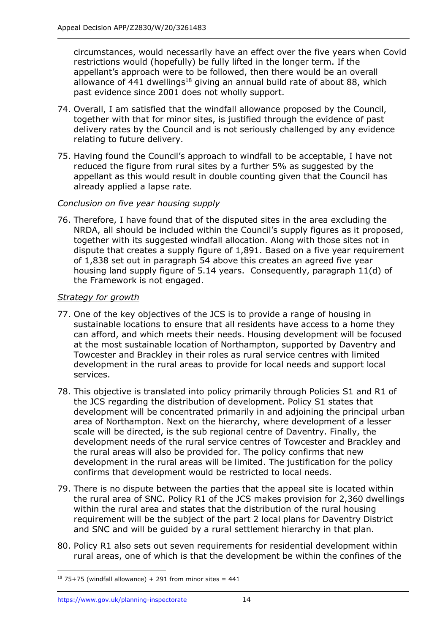circumstances, would necessarily have an effect over the five years when Covid restrictions would (hopefully) be fully lifted in the longer term. If the appellant's approach were to be followed, then there would be an overall allowance of  $441$  dwellings<sup>18</sup> giving an annual build rate of about 88, which past evidence since 2001 does not wholly support.

- 74. Overall, I am satisfied that the windfall allowance proposed by the Council, together with that for minor sites, is justified through the evidence of past delivery rates by the Council and is not seriously challenged by any evidence relating to future delivery.
- 75. Having found the Council's approach to windfall to be acceptable, I have not reduced the figure from rural sites by a further 5% as suggested by the appellant as this would result in double counting given that the Council has already applied a lapse rate.

## *Conclusion on five year housing supply*

76. Therefore, I have found that of the disputed sites in the area excluding the NRDA, all should be included within the Council's supply figures as it proposed, together with its suggested windfall allocation. Along with those sites not in dispute that creates a supply figure of 1,891. Based on a five year requirement of 1,838 set out in paragraph 54 above this creates an agreed five year housing land supply figure of 5.14 years. Consequently, paragraph 11(d) of the Framework is not engaged.

#### *Strategy for growth*

- 77. One of the key objectives of the JCS is to provide a range of housing in sustainable locations to ensure that all residents have access to a home they can afford, and which meets their needs. Housing development will be focused at the most sustainable location of Northampton, supported by Daventry and Towcester and Brackley in their roles as rural service centres with limited development in the rural areas to provide for local needs and support local services.
- 78. This objective is translated into policy primarily through Policies S1 and R1 of the JCS regarding the distribution of development. Policy S1 states that development will be concentrated primarily in and adjoining the principal urban area of Northampton. Next on the hierarchy, where development of a lesser scale will be directed, is the sub regional centre of Daventry. Finally, the development needs of the rural service centres of Towcester and Brackley and the rural areas will also be provided for. The policy confirms that new development in the rural areas will be limited. The justification for the policy confirms that development would be restricted to local needs.
- 79. There is no dispute between the parties that the appeal site is located within the rural area of SNC. Policy R1 of the JCS makes provision for 2,360 dwellings within the rural area and states that the distribution of the rural housing requirement will be the subject of the part 2 local plans for Daventry District and SNC and will be guided by a rural settlement hierarchy in that plan.
- 80. Policy R1 also sets out seven requirements for residential development within rural areas, one of which is that the development be within the confines of the

 $18$  75+75 (windfall allowance) + 291 from minor sites = 441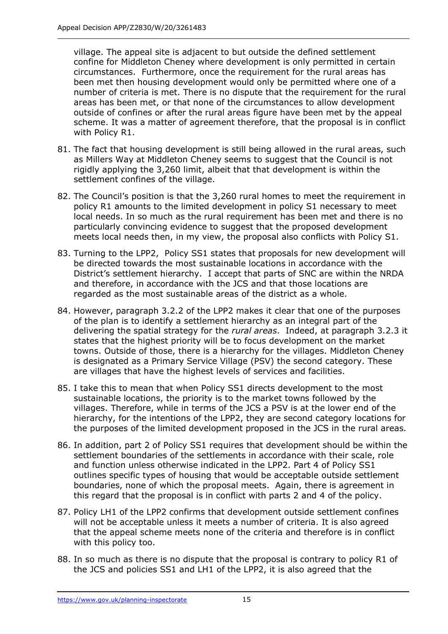village. The appeal site is adjacent to but outside the defined settlement confine for Middleton Cheney where development is only permitted in certain circumstances. Furthermore, once the requirement for the rural areas has been met then housing development would only be permitted where one of a number of criteria is met. There is no dispute that the requirement for the rural areas has been met, or that none of the circumstances to allow development outside of confines or after the rural areas figure have been met by the appeal scheme. It was a matter of agreement therefore, that the proposal is in conflict with Policy R1.

- 81. The fact that housing development is still being allowed in the rural areas, such as Millers Way at Middleton Cheney seems to suggest that the Council is not rigidly applying the 3,260 limit, albeit that that development is within the settlement confines of the village.
- 82. The Council's position is that the 3,260 rural homes to meet the requirement in policy R1 amounts to the limited development in policy S1 necessary to meet local needs. In so much as the rural requirement has been met and there is no particularly convincing evidence to suggest that the proposed development meets local needs then, in my view, the proposal also conflicts with Policy S1.
- 83. Turning to the LPP2, Policy SS1 states that proposals for new development will be directed towards the most sustainable locations in accordance with the District's settlement hierarchy. I accept that parts of SNC are within the NRDA and therefore, in accordance with the JCS and that those locations are regarded as the most sustainable areas of the district as a whole.
- 84. However, paragraph 3.2.2 of the LPP2 makes it clear that one of the purposes of the plan is to identify a settlement hierarchy as an integral part of the delivering the spatial strategy for the *rural areas*. Indeed, at paragraph 3.2.3 it states that the highest priority will be to focus development on the market towns. Outside of those, there is a hierarchy for the villages. Middleton Cheney is designated as a Primary Service Village (PSV) the second category. These are villages that have the highest levels of services and facilities.
- 85. I take this to mean that when Policy SS1 directs development to the most sustainable locations, the priority is to the market towns followed by the villages. Therefore, while in terms of the JCS a PSV is at the lower end of the hierarchy, for the intentions of the LPP2, they are second category locations for the purposes of the limited development proposed in the JCS in the rural areas.
- 86. In addition, part 2 of Policy SS1 requires that development should be within the settlement boundaries of the settlements in accordance with their scale, role and function unless otherwise indicated in the LPP2. Part 4 of Policy SS1 outlines specific types of housing that would be acceptable outside settlement boundaries, none of which the proposal meets. Again, there is agreement in this regard that the proposal is in conflict with parts 2 and 4 of the policy.
- 87. Policy LH1 of the LPP2 confirms that development outside settlement confines will not be acceptable unless it meets a number of criteria. It is also agreed that the appeal scheme meets none of the criteria and therefore is in conflict with this policy too.
- 88. In so much as there is no dispute that the proposal is contrary to policy R1 of the JCS and policies SS1 and LH1 of the LPP2, it is also agreed that the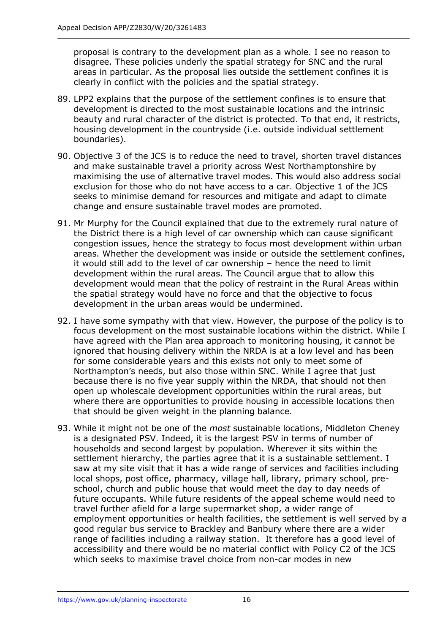proposal is contrary to the development plan as a whole. I see no reason to disagree. These policies underly the spatial strategy for SNC and the rural areas in particular. As the proposal lies outside the settlement confines it is clearly in conflict with the policies and the spatial strategy.

- 89. LPP2 explains that the purpose of the settlement confines is to ensure that development is directed to the most sustainable locations and the intrinsic beauty and rural character of the district is protected. To that end, it restricts, housing development in the countryside (i.e. outside individual settlement boundaries).
- 90. Objective 3 of the JCS is to reduce the need to travel, shorten travel distances and make sustainable travel a priority across West Northamptonshire by maximising the use of alternative travel modes. This would also address social exclusion for those who do not have access to a car. Objective 1 of the JCS seeks to minimise demand for resources and mitigate and adapt to climate change and ensure sustainable travel modes are promoted.
- 91. Mr Murphy for the Council explained that due to the extremely rural nature of the District there is a high level of car ownership which can cause significant congestion issues, hence the strategy to focus most development within urban areas. Whether the development was inside or outside the settlement confines, it would still add to the level of car ownership – hence the need to limit development within the rural areas. The Council argue that to allow this development would mean that the policy of restraint in the Rural Areas within the spatial strategy would have no force and that the objective to focus development in the urban areas would be undermined.
- 92. I have some sympathy with that view. However, the purpose of the policy is to focus development on the most sustainable locations within the district. While I have agreed with the Plan area approach to monitoring housing, it cannot be ignored that housing delivery within the NRDA is at a low level and has been for some considerable years and this exists not only to meet some of Northampton's needs, but also those within SNC. While I agree that just because there is no five year supply within the NRDA, that should not then open up wholescale development opportunities within the rural areas, but where there are opportunities to provide housing in accessible locations then that should be given weight in the planning balance.
- 93. While it might not be one of the *most* sustainable locations, Middleton Cheney is a designated PSV. Indeed, it is the largest PSV in terms of number of households and second largest by population. Wherever it sits within the settlement hierarchy, the parties agree that it is a sustainable settlement. I saw at my site visit that it has a wide range of services and facilities including local shops, post office, pharmacy, village hall, library, primary school, preschool, church and public house that would meet the day to day needs of future occupants. While future residents of the appeal scheme would need to travel further afield for a large supermarket shop, a wider range of employment opportunities or health facilities, the settlement is well served by a good regular bus service to Brackley and Banbury where there are a wider range of facilities including a railway station. It therefore has a good level of accessibility and there would be no material conflict with Policy C2 of the JCS which seeks to maximise travel choice from non-car modes in new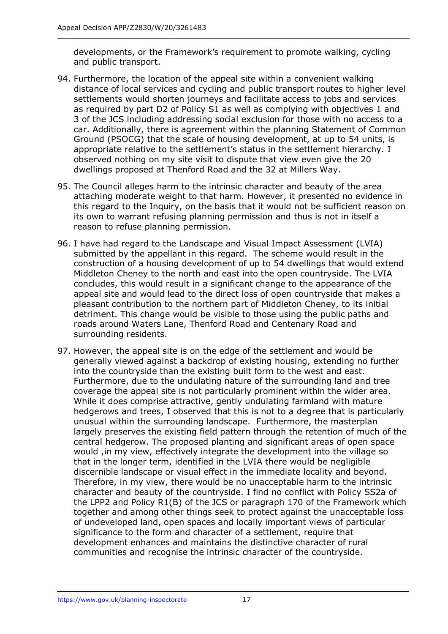developments, or the Framework's requirement to promote walking, cycling and public transport.

- 94. Furthermore, the location of the appeal site within a convenient walking distance of local services and cycling and public transport routes to higher level settlements would shorten journeys and facilitate access to jobs and services as required by part D2 of Policy S1 as well as complying with objectives 1 and 3 of the JCS including addressing social exclusion for those with no access to a car. Additionally, there is agreement within the planning Statement of Common Ground (PSOCG) that the scale of housing development, at up to 54 units, is appropriate relative to the settlement's status in the settlement hierarchy. I observed nothing on my site visit to dispute that view even give the 20 dwellings proposed at Thenford Road and the 32 at Millers Way.
- 95. The Council alleges harm to the intrinsic character and beauty of the area attaching moderate weight to that harm. However, it presented no evidence in this regard to the Inquiry, on the basis that it would not be sufficient reason on its own to warrant refusing planning permission and thus is not in itself a reason to refuse planning permission.
- 96. I have had regard to the Landscape and Visual Impact Assessment (LVIA) submitted by the appellant in this regard. The scheme would result in the construction of a housing development of up to 54 dwellings that would extend Middleton Cheney to the north and east into the open countryside. The LVIA concludes, this would result in a significant change to the appearance of the appeal site and would lead to the direct loss of open countryside that makes a pleasant contribution to the northern part of Middleton Cheney, to its initial detriment. This change would be visible to those using the public paths and roads around Waters Lane, Thenford Road and Centenary Road and surrounding residents.
- 97. However, the appeal site is on the edge of the settlement and would be generally viewed against a backdrop of existing housing, extending no further into the countryside than the existing built form to the west and east. Furthermore, due to the undulating nature of the surrounding land and tree coverage the appeal site is not particularly prominent within the wider area. While it does comprise attractive, gently undulating farmland with mature hedgerows and trees, I observed that this is not to a degree that is particularly unusual within the surrounding landscape. Furthermore, the masterplan largely preserves the existing field pattern through the retention of much of the central hedgerow. The proposed planting and significant areas of open space would ,in my view, effectively integrate the development into the village so that in the longer term, identified in the LVIA there would be negligible discernible landscape or visual effect in the immediate locality and beyond. Therefore, in my view, there would be no unacceptable harm to the intrinsic character and beauty of the countryside. I find no conflict with Policy SS2a of the LPP2 and Policy R1(B) of the JCS or paragraph 170 of the Framework which together and among other things seek to protect against the unacceptable loss of undeveloped land, open spaces and locally important views of particular significance to the form and character of a settlement, require that development enhances and maintains the distinctive character of rural communities and recognise the intrinsic character of the countryside.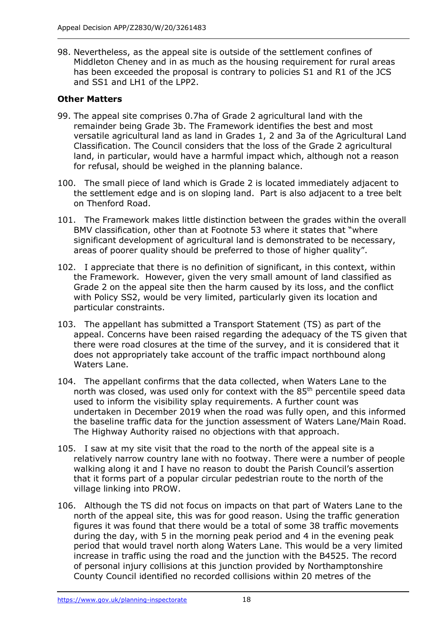98. Nevertheless, as the appeal site is outside of the settlement confines of Middleton Cheney and in as much as the housing requirement for rural areas has been exceeded the proposal is contrary to policies S1 and R1 of the JCS and SS1 and LH1 of the LPP2.

## **Other Matters**

- 99. The appeal site comprises 0.7ha of Grade 2 agricultural land with the remainder being Grade 3b. The Framework identifies the best and most versatile agricultural land as land in Grades 1, 2 and 3a of the Agricultural Land Classification. The Council considers that the loss of the Grade 2 agricultural land, in particular, would have a harmful impact which, although not a reason for refusal, should be weighed in the planning balance.
- 100. The small piece of land which is Grade 2 is located immediately adjacent to the settlement edge and is on sloping land. Part is also adjacent to a tree belt on Thenford Road.
- 101. The Framework makes little distinction between the grades within the overall BMV classification, other than at Footnote 53 where it states that "where significant development of agricultural land is demonstrated to be necessary, areas of poorer quality should be preferred to those of higher quality".
- 102. I appreciate that there is no definition of significant, in this context, within the Framework. However, given the very small amount of land classified as Grade 2 on the appeal site then the harm caused by its loss, and the conflict with Policy SS2, would be very limited, particularly given its location and particular constraints.
- 103. The appellant has submitted a Transport Statement (TS) as part of the appeal. Concerns have been raised regarding the adequacy of the TS given that there were road closures at the time of the survey, and it is considered that it does not appropriately take account of the traffic impact northbound along Waters Lane.
- 104. The appellant confirms that the data collected, when Waters Lane to the north was closed, was used only for context with the 85<sup>th</sup> percentile speed data used to inform the visibility splay requirements. A further count was undertaken in December 2019 when the road was fully open, and this informed the baseline traffic data for the junction assessment of Waters Lane/Main Road. The Highway Authority raised no objections with that approach.
- 105. I saw at my site visit that the road to the north of the appeal site is a relatively narrow country lane with no footway. There were a number of people walking along it and I have no reason to doubt the Parish Council's assertion that it forms part of a popular circular pedestrian route to the north of the village linking into PROW.
- 106. Although the TS did not focus on impacts on that part of Waters Lane to the north of the appeal site, this was for good reason. Using the traffic generation figures it was found that there would be a total of some 38 traffic movements during the day, with 5 in the morning peak period and 4 in the evening peak period that would travel north along Waters Lane. This would be a very limited increase in traffic using the road and the junction with the B4525. The record of personal injury collisions at this junction provided by Northamptonshire County Council identified no recorded collisions within 20 metres of the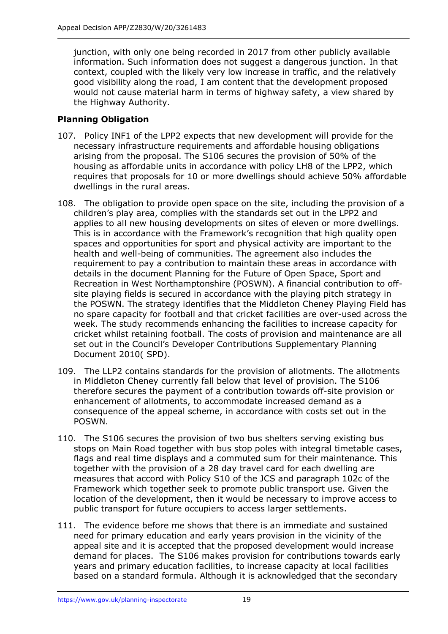junction, with only one being recorded in 2017 from other publicly available information. Such information does not suggest a dangerous junction. In that context, coupled with the likely very low increase in traffic, and the relatively good visibility along the road, I am content that the development proposed would not cause material harm in terms of highway safety, a view shared by the Highway Authority.

# **Planning Obligation**

- 107. Policy INF1 of the LPP2 expects that new development will provide for the necessary infrastructure requirements and affordable housing obligations arising from the proposal. The S106 secures the provision of 50% of the housing as affordable units in accordance with policy LH8 of the LPP2, which requires that proposals for 10 or more dwellings should achieve 50% affordable dwellings in the rural areas.
- 108. The obligation to provide open space on the site, including the provision of a children's play area, complies with the standards set out in the LPP2 and applies to all new housing developments on sites of eleven or more dwellings. This is in accordance with the Framework's recognition that high quality open spaces and opportunities for sport and physical activity are important to the health and well-being of communities. The agreement also includes the requirement to pay a contribution to maintain these areas in accordance with details in the document Planning for the Future of Open Space, Sport and Recreation in West Northamptonshire (POSWN). A financial contribution to offsite playing fields is secured in accordance with the playing pitch strategy in the POSWN. The strategy identifies that the Middleton Cheney Playing Field has no spare capacity for football and that cricket facilities are over-used across the week. The study recommends enhancing the facilities to increase capacity for cricket whilst retaining football. The costs of provision and maintenance are all set out in the Council's Developer Contributions Supplementary Planning Document 2010( SPD).
- 109. The LLP2 contains standards for the provision of allotments. The allotments in Middleton Cheney currently fall below that level of provision. The S106 therefore secures the payment of a contribution towards off-site provision or enhancement of allotments, to accommodate increased demand as a consequence of the appeal scheme, in accordance with costs set out in the POSWN.
- 110. The S106 secures the provision of two bus shelters serving existing bus stops on Main Road together with bus stop poles with integral timetable cases, flags and real time displays and a commuted sum for their maintenance. This together with the provision of a 28 day travel card for each dwelling are measures that accord with Policy S10 of the JCS and paragraph 102c of the Framework which together seek to promote public transport use. Given the location of the development, then it would be necessary to improve access to public transport for future occupiers to access larger settlements.
- 111. The evidence before me shows that there is an immediate and sustained need for primary education and early years provision in the vicinity of the appeal site and it is accepted that the proposed development would increase demand for places. The S106 makes provision for contributions towards early years and primary education facilities, to increase capacity at local facilities based on a standard formula. Although it is acknowledged that the secondary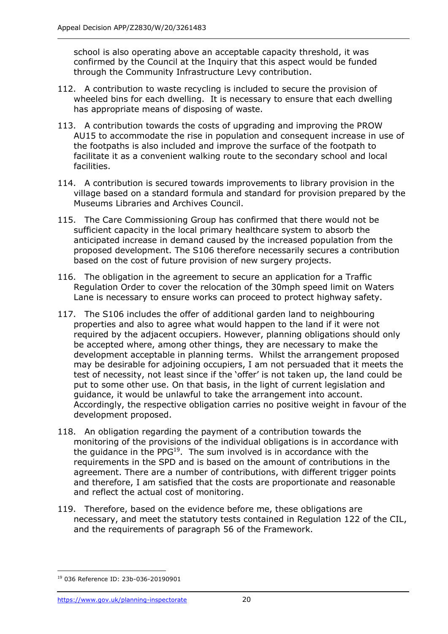school is also operating above an acceptable capacity threshold, it was confirmed by the Council at the Inquiry that this aspect would be funded through the Community Infrastructure Levy contribution.

- 112. A contribution to waste recycling is included to secure the provision of wheeled bins for each dwelling. It is necessary to ensure that each dwelling has appropriate means of disposing of waste.
- 113. A contribution towards the costs of upgrading and improving the PROW AU15 to accommodate the rise in population and consequent increase in use of the footpaths is also included and improve the surface of the footpath to facilitate it as a convenient walking route to the secondary school and local facilities.
- 114. A contribution is secured towards improvements to library provision in the village based on a standard formula and standard for provision prepared by the Museums Libraries and Archives Council.
- 115. The Care Commissioning Group has confirmed that there would not be sufficient capacity in the local primary healthcare system to absorb the anticipated increase in demand caused by the increased population from the proposed development. The S106 therefore necessarily secures a contribution based on the cost of future provision of new surgery projects.
- 116. The obligation in the agreement to secure an application for a Traffic Regulation Order to cover the relocation of the 30mph speed limit on Waters Lane is necessary to ensure works can proceed to protect highway safety.
- 117. The S106 includes the offer of additional garden land to neighbouring properties and also to agree what would happen to the land if it were not required by the adjacent occupiers. However, planning obligations should only be accepted where, among other things, they are necessary to make the development acceptable in planning terms. Whilst the arrangement proposed may be desirable for adjoining occupiers, I am not persuaded that it meets the test of necessity, not least since if the 'offer' is not taken up, the land could be put to some other use. On that basis, in the light of current legislation and guidance, it would be unlawful to take the arrangement into account. Accordingly, the respective obligation carries no positive weight in favour of the development proposed.
- 118. An obligation regarding the payment of a contribution towards the monitoring of the provisions of the individual obligations is in accordance with the guidance in the PPG $^{19}$ . The sum involved is in accordance with the requirements in the SPD and is based on the amount of contributions in the agreement. There are a number of contributions, with different trigger points and therefore, I am satisfied that the costs are proportionate and reasonable and reflect the actual cost of monitoring.
- 119. Therefore, based on the evidence before me, these obligations are necessary, and meet the statutory tests contained in Regulation 122 of the CIL, and the requirements of paragraph 56 of the Framework.

<sup>19</sup> 036 Reference ID: 23b-036-20190901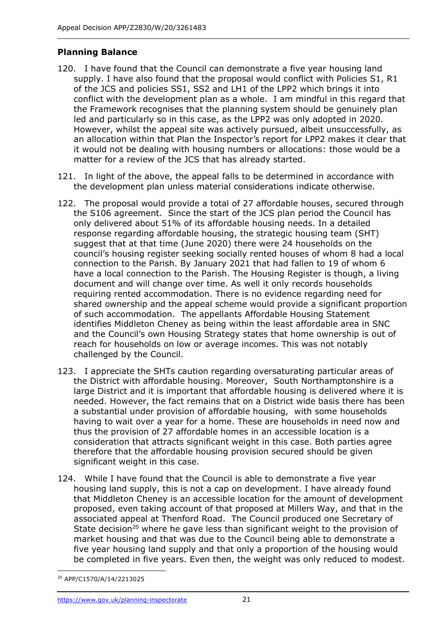## **Planning Balance**

- 120. I have found that the Council can demonstrate a five year housing land supply. I have also found that the proposal would conflict with Policies S1, R1 of the JCS and policies SS1, SS2 and LH1 of the LPP2 which brings it into conflict with the development plan as a whole. I am mindful in this regard that the Framework recognises that the planning system should be genuinely plan led and particularly so in this case, as the LPP2 was only adopted in 2020. However, whilst the appeal site was actively pursued, albeit unsuccessfully, as an allocation within that Plan the Inspector's report for LPP2 makes it clear that it would not be dealing with housing numbers or allocations: those would be a matter for a review of the JCS that has already started.
- 121. In light of the above, the appeal falls to be determined in accordance with the development plan unless material considerations indicate otherwise.
- 122. The proposal would provide a total of 27 affordable houses, secured through the S106 agreement. Since the start of the JCS plan period the Council has only delivered about 51% of its affordable housing needs. In a detailed response regarding affordable housing, the strategic housing team (SHT) suggest that at that time (June 2020) there were 24 households on the council's housing register seeking socially rented houses of whom 8 had a local connection to the Parish. By January 2021 that had fallen to 19 of whom 6 have a local connection to the Parish. The Housing Register is though, a living document and will change over time. As well it only records households requiring rented accommodation. There is no evidence regarding need for shared ownership and the appeal scheme would provide a significant proportion of such accommodation. The appellants Affordable Housing Statement identifies Middleton Cheney as being within the least affordable area in SNC and the Council's own Housing Strategy states that home ownership is out of reach for households on low or average incomes. This was not notably challenged by the Council.
- 123. I appreciate the SHTs caution regarding oversaturating particular areas of the District with affordable housing. Moreover, South Northamptonshire is a large District and it is important that affordable housing is delivered where it is needed. However, the fact remains that on a District wide basis there has been a substantial under provision of affordable housing, with some households having to wait over a year for a home. These are households in need now and thus the provision of 27 affordable homes in an accessible location is a consideration that attracts significant weight in this case. Both parties agree therefore that the affordable housing provision secured should be given significant weight in this case.
- 124. While I have found that the Council is able to demonstrate a five year housing land supply, this is not a cap on development. I have already found that Middleton Cheney is an accessible location for the amount of development proposed, even taking account of that proposed at Millers Way, and that in the associated appeal at Thenford Road. The Council produced one Secretary of State decision<sup>20</sup> where he gave less than significant weight to the provision of market housing and that was due to the Council being able to demonstrate a five year housing land supply and that only a proportion of the housing would be completed in five years. Even then, the weight was only reduced to modest.

<sup>20</sup> APP/C1570/A/14/2213025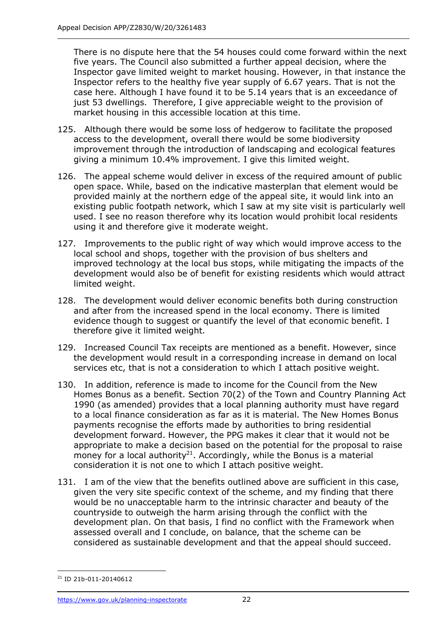There is no dispute here that the 54 houses could come forward within the next five years. The Council also submitted a further appeal decision, where the Inspector gave limited weight to market housing. However, in that instance the Inspector refers to the healthy five year supply of 6.67 years. That is not the case here. Although I have found it to be 5.14 years that is an exceedance of just 53 dwellings. Therefore, I give appreciable weight to the provision of market housing in this accessible location at this time.

- 125. Although there would be some loss of hedgerow to facilitate the proposed access to the development, overall there would be some biodiversity improvement through the introduction of landscaping and ecological features giving a minimum 10.4% improvement. I give this limited weight.
- 126. The appeal scheme would deliver in excess of the required amount of public open space. While, based on the indicative masterplan that element would be provided mainly at the northern edge of the appeal site, it would link into an existing public footpath network, which I saw at my site visit is particularly well used. I see no reason therefore why its location would prohibit local residents using it and therefore give it moderate weight.
- 127. Improvements to the public right of way which would improve access to the local school and shops, together with the provision of bus shelters and improved technology at the local bus stops, while mitigating the impacts of the development would also be of benefit for existing residents which would attract limited weight.
- 128. The development would deliver economic benefits both during construction and after from the increased spend in the local economy. There is limited evidence though to suggest or quantify the level of that economic benefit. I therefore give it limited weight.
- 129. Increased Council Tax receipts are mentioned as a benefit. However, since the development would result in a corresponding increase in demand on local services etc, that is not a consideration to which I attach positive weight.
- 130. In addition, reference is made to income for the Council from the New Homes Bonus as a benefit. Section 70(2) of the Town and Country Planning Act 1990 (as amended) provides that a local planning authority must have regard to a local finance consideration as far as it is material. The New Homes Bonus payments recognise the efforts made by authorities to bring residential development forward. However, the PPG makes it clear that it would not be appropriate to make a decision based on the potential for the proposal to raise money for a local authority<sup>21</sup>. Accordingly, while the Bonus is a material consideration it is not one to which I attach positive weight.
- 131. I am of the view that the benefits outlined above are sufficient in this case, given the very site specific context of the scheme, and my finding that there would be no unacceptable harm to the intrinsic character and beauty of the countryside to outweigh the harm arising through the conflict with the development plan. On that basis, I find no conflict with the Framework when assessed overall and I conclude, on balance, that the scheme can be considered as sustainable development and that the appeal should succeed.

<sup>21</sup> ID 21b-011-20140612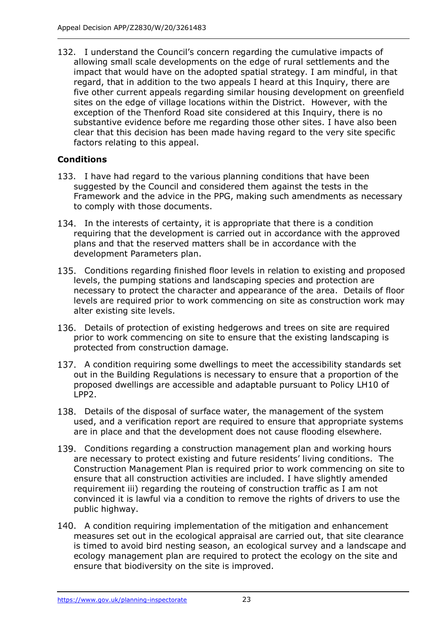132. I understand the Council's concern regarding the cumulative impacts of allowing small scale developments on the edge of rural settlements and the impact that would have on the adopted spatial strategy. I am mindful, in that regard, that in addition to the two appeals I heard at this Inquiry, there are five other current appeals regarding similar housing development on greenfield sites on the edge of village locations within the District. However, with the exception of the Thenford Road site considered at this Inquiry, there is no substantive evidence before me regarding those other sites. I have also been clear that this decision has been made having regard to the very site specific factors relating to this appeal.

# **Conditions**

- 133. I have had regard to the various planning conditions that have been suggested by the Council and considered them against the tests in the Framework and the advice in the PPG, making such amendments as necessary to comply with those documents.
- 134. In the interests of certainty, it is appropriate that there is a condition requiring that the development is carried out in accordance with the approved plans and that the reserved matters shall be in accordance with the development Parameters plan.
- Conditions regarding finished floor levels in relation to existing and proposed levels, the pumping stations and landscaping species and protection are necessary to protect the character and appearance of the area. Details of floor levels are required prior to work commencing on site as construction work may alter existing site levels.
- 136. Details of protection of existing hedgerows and trees on site are required prior to work commencing on site to ensure that the existing landscaping is protected from construction damage.
- 137. A condition requiring some dwellings to meet the accessibility standards set out in the Building Regulations is necessary to ensure that a proportion of the proposed dwellings are accessible and adaptable pursuant to Policy LH10 of LPP2.
- 138. Details of the disposal of surface water, the management of the system used, and a verification report are required to ensure that appropriate systems are in place and that the development does not cause flooding elsewhere.
- 139. Conditions regarding a construction management plan and working hours are necessary to protect existing and future residents' living conditions. The Construction Management Plan is required prior to work commencing on site to ensure that all construction activities are included. I have slightly amended requirement iii) regarding the routeing of construction traffic as I am not convinced it is lawful via a condition to remove the rights of drivers to use the public highway.
- 140. A condition requiring implementation of the mitigation and enhancement measures set out in the ecological appraisal are carried out, that site clearance is timed to avoid bird nesting season, an ecological survey and a landscape and ecology management plan are required to protect the ecology on the site and ensure that biodiversity on the site is improved.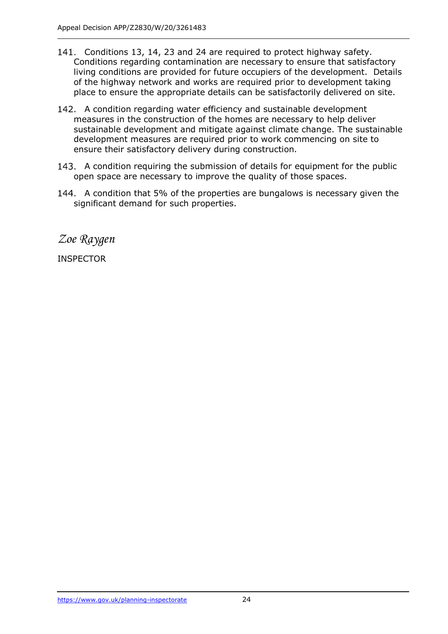- 141. Conditions 13, 14, 23 and 24 are required to protect highway safety. Conditions regarding contamination are necessary to ensure that satisfactory living conditions are provided for future occupiers of the development. Details of the highway network and works are required prior to development taking place to ensure the appropriate details can be satisfactorily delivered on site.
- 142. A condition regarding water efficiency and sustainable development measures in the construction of the homes are necessary to help deliver sustainable development and mitigate against climate change. The sustainable development measures are required prior to work commencing on site to ensure their satisfactory delivery during construction.
- 143. A condition requiring the submission of details for equipment for the public open space are necessary to improve the quality of those spaces.
- 144. A condition that 5% of the properties are bungalows is necessary given the significant demand for such properties.

*Zoe Raygen*

INSPECTOR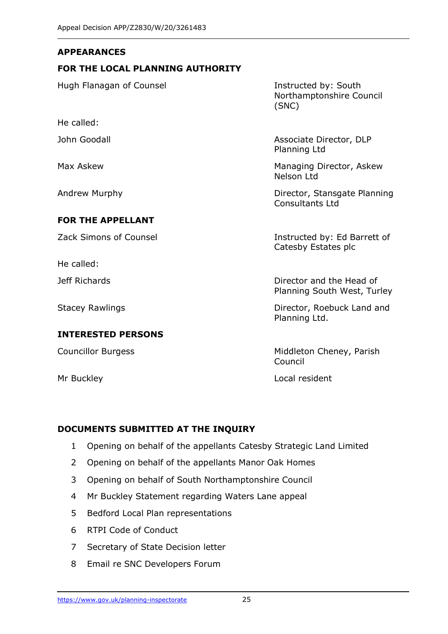#### **APPEARANCES**

#### **FOR THE LOCAL PLANNING AUTHORITY**

Hugh Flanagan of Counsel **Instructed by: South** Northamptonshire Council (SNC) He called: John Goodall **Associate Director**, DLP Planning Ltd Max Askew Managing Director, Askew Nelson Ltd Andrew Murphy **Director, Stansgate Planning** Consultants Ltd **FOR THE APPELLANT** Zack Simons of Counsel **Instructed by: Ed Barrett of** Catesby Estates plc He called: Jeff Richards Director and the Head of

#### **INTERESTED PERSONS**

Planning South West, Turley

Stacey Rawlings **Director, Roebuck Land and** Planning Ltd.

Councillor Burgess **Middleton Cheney, Parish** Council

Mr Buckley **Local resident** 

#### **DOCUMENTS SUBMITTED AT THE INQUIRY**

- 1 Opening on behalf of the appellants Catesby Strategic Land Limited
- 2 Opening on behalf of the appellants Manor Oak Homes
- 3 Opening on behalf of South Northamptonshire Council
- 4 Mr Buckley Statement regarding Waters Lane appeal
- 5 Bedford Local Plan representations
- 6 RTPI Code of Conduct
- 7 Secretary of State Decision letter
- 8 Email re SNC Developers Forum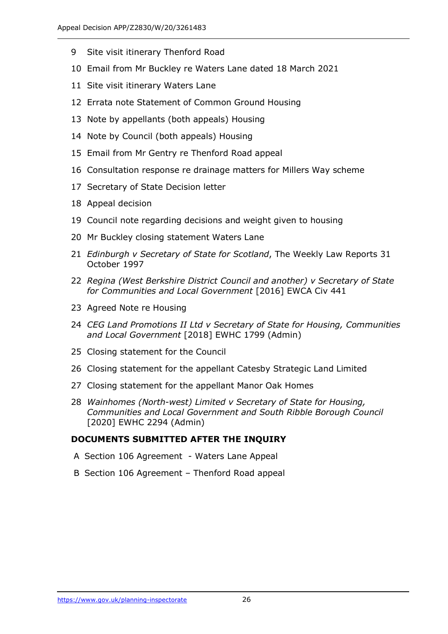- Site visit itinerary Thenford Road
- Email from Mr Buckley re Waters Lane dated 18 March 2021
- Site visit itinerary Waters Lane
- Errata note Statement of Common Ground Housing
- Note by appellants (both appeals) Housing
- Note by Council (both appeals) Housing
- Email from Mr Gentry re Thenford Road appeal
- Consultation response re drainage matters for Millers Way scheme
- Secretary of State Decision letter
- Appeal decision
- Council note regarding decisions and weight given to housing
- Mr Buckley closing statement Waters Lane
- *Edinburgh v Secretary of State for Scotland*, The Weekly Law Reports 31 October 1997
- *Regina (West Berkshire District Council and another) v Secretary of State for Communities and Local Government* [2016] EWCA Civ 441
- Agreed Note re Housing
- *CEG Land Promotions II Ltd v Secretary of State for Housing, Communities and Local Government* [2018] EWHC 1799 (Admin)
- Closing statement for the Council
- Closing statement for the appellant Catesby Strategic Land Limited
- Closing statement for the appellant Manor Oak Homes
- *Wainhomes (North-west) Limited v Secretary of State for Housing, Communities and Local Government and South Ribble Borough Council* [2020] EWHC 2294 (Admin)

## **DOCUMENTS SUBMITTED AFTER THE INQUIRY**

- A Section 106 Agreement Waters Lane Appeal
- B Section 106 Agreement Thenford Road appeal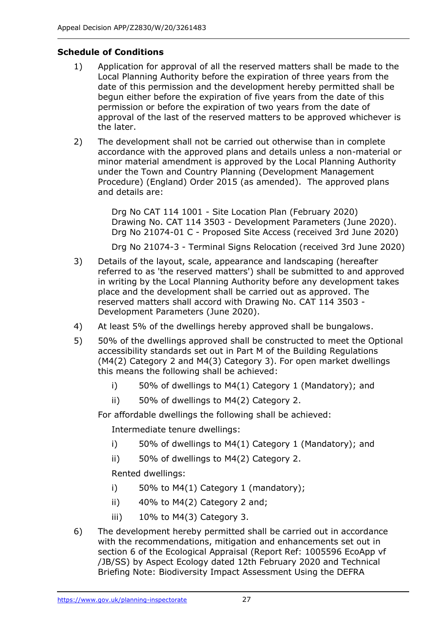## **Schedule of Conditions**

- 1) Application for approval of all the reserved matters shall be made to the Local Planning Authority before the expiration of three years from the date of this permission and the development hereby permitted shall be begun either before the expiration of five years from the date of this permission or before the expiration of two years from the date of approval of the last of the reserved matters to be approved whichever is the later.
- 2) The development shall not be carried out otherwise than in complete accordance with the approved plans and details unless a non-material or minor material amendment is approved by the Local Planning Authority under the Town and Country Planning (Development Management Procedure) (England) Order 2015 (as amended). The approved plans and details are:

Drg No CAT 114 1001 - Site Location Plan (February 2020) Drawing No. CAT 114 3503 - Development Parameters (June 2020). Drg No 21074-01 C - Proposed Site Access (received 3rd June 2020)

Drg No 21074-3 - Terminal Signs Relocation (received 3rd June 2020)

- 3) Details of the layout, scale, appearance and landscaping (hereafter referred to as 'the reserved matters') shall be submitted to and approved in writing by the Local Planning Authority before any development takes place and the development shall be carried out as approved. The reserved matters shall accord with Drawing No. CAT 114 3503 - Development Parameters (June 2020).
- 4) At least 5% of the dwellings hereby approved shall be bungalows.
- 5) 50% of the dwellings approved shall be constructed to meet the Optional accessibility standards set out in Part M of the Building Regulations (M4(2) Category 2 and M4(3) Category 3). For open market dwellings this means the following shall be achieved:
	- i) 50% of dwellings to M4(1) Category 1 (Mandatory); and
	- ii) 50% of dwellings to M4(2) Category 2.

For affordable dwellings the following shall be achieved:

Intermediate tenure dwellings:

- i) 50% of dwellings to M4(1) Category 1 (Mandatory); and
- ii) 50% of dwellings to M4(2) Category 2.

Rented dwellings:

- i) 50% to  $M4(1)$  Category 1 (mandatory);
- ii)  $40\%$  to M4(2) Category 2 and;
- iii) 10% to M4(3) Category 3.
- 6) The development hereby permitted shall be carried out in accordance with the recommendations, mitigation and enhancements set out in section 6 of the Ecological Appraisal (Report Ref: 1005596 EcoApp vf /JB/SS) by Aspect Ecology dated 12th February 2020 and Technical Briefing Note: Biodiversity Impact Assessment Using the DEFRA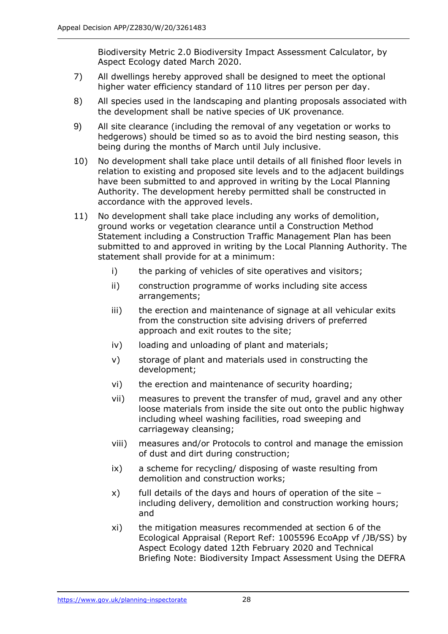Biodiversity Metric 2.0 Biodiversity Impact Assessment Calculator, by Aspect Ecology dated March 2020.

- 7) All dwellings hereby approved shall be designed to meet the optional higher water efficiency standard of 110 litres per person per day.
- 8) All species used in the landscaping and planting proposals associated with the development shall be native species of UK provenance.
- 9) All site clearance (including the removal of any vegetation or works to hedgerows) should be timed so as to avoid the bird nesting season, this being during the months of March until July inclusive.
- 10) No development shall take place until details of all finished floor levels in relation to existing and proposed site levels and to the adjacent buildings have been submitted to and approved in writing by the Local Planning Authority. The development hereby permitted shall be constructed in accordance with the approved levels.
- 11) No development shall take place including any works of demolition, ground works or vegetation clearance until a Construction Method Statement including a Construction Traffic Management Plan has been submitted to and approved in writing by the Local Planning Authority. The statement shall provide for at a minimum:
	- i) the parking of vehicles of site operatives and visitors;
	- ii) construction programme of works including site access arrangements;
	- iii) the erection and maintenance of signage at all vehicular exits from the construction site advising drivers of preferred approach and exit routes to the site;
	- iv) loading and unloading of plant and materials;
	- v) storage of plant and materials used in constructing the development;
	- vi) the erection and maintenance of security hoarding;
	- vii) measures to prevent the transfer of mud, gravel and any other loose materials from inside the site out onto the public highway including wheel washing facilities, road sweeping and carriageway cleansing;
	- viii) measures and/or Protocols to control and manage the emission of dust and dirt during construction;
	- ix) a scheme for recycling/ disposing of waste resulting from demolition and construction works;
	- x) full details of the days and hours of operation of the site including delivery, demolition and construction working hours; and
	- xi) the mitigation measures recommended at section 6 of the Ecological Appraisal (Report Ref: 1005596 EcoApp vf /JB/SS) by Aspect Ecology dated 12th February 2020 and Technical Briefing Note: Biodiversity Impact Assessment Using the DEFRA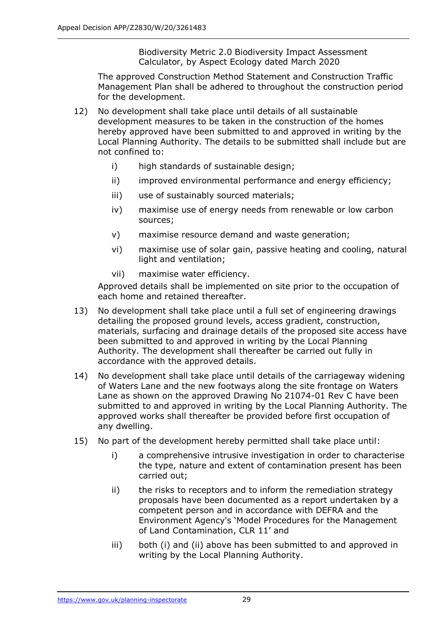Biodiversity Metric 2.0 Biodiversity Impact Assessment Calculator, by Aspect Ecology dated March 2020

The approved Construction Method Statement and Construction Traffic Management Plan shall be adhered to throughout the construction period for the development.

- 12) No development shall take place until details of all sustainable development measures to be taken in the construction of the homes hereby approved have been submitted to and approved in writing by the Local Planning Authority. The details to be submitted shall include but are not confined to:
	- i) high standards of sustainable design;
	- ii) improved environmental performance and energy efficiency;
	- iii) use of sustainably sourced materials;
	- iv) maximise use of energy needs from renewable or low carbon sources;
	- v) maximise resource demand and waste generation;
	- vi) maximise use of solar gain, passive heating and cooling, natural light and ventilation;
	- vii) maximise water efficiency.

Approved details shall be implemented on site prior to the occupation of each home and retained thereafter.

- 13) No development shall take place until a full set of engineering drawings detailing the proposed ground levels, access gradient, construction, materials, surfacing and drainage details of the proposed site access have been submitted to and approved in writing by the Local Planning Authority. The development shall thereafter be carried out fully in accordance with the approved details.
- 14) No development shall take place until details of the carriageway widening of Waters Lane and the new footways along the site frontage on Waters Lane as shown on the approved Drawing No 21074-01 Rev C have been submitted to and approved in writing by the Local Planning Authority. The approved works shall thereafter be provided before first occupation of any dwelling.
- 15) No part of the development hereby permitted shall take place until:
	- i) a comprehensive intrusive investigation in order to characterise the type, nature and extent of contamination present has been carried out;
	- ii) the risks to receptors and to inform the remediation strategy proposals have been documented as a report undertaken by a competent person and in accordance with DEFRA and the Environment Agency's 'Model Procedures for the Management of Land Contamination, CLR 11' and
	- iii) both (i) and (ii) above has been submitted to and approved in writing by the Local Planning Authority.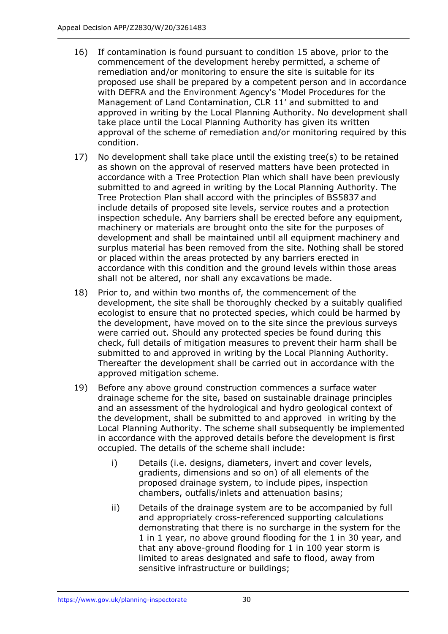- 16) If contamination is found pursuant to condition 15 above, prior to the commencement of the development hereby permitted, a scheme of remediation and/or monitoring to ensure the site is suitable for its proposed use shall be prepared by a competent person and in accordance with DEFRA and the Environment Agency's 'Model Procedures for the Management of Land Contamination, CLR 11' and submitted to and approved in writing by the Local Planning Authority. No development shall take place until the Local Planning Authority has given its written approval of the scheme of remediation and/or monitoring required by this condition.
- 17) No development shall take place until the existing tree(s) to be retained as shown on the approval of reserved matters have been protected in accordance with a Tree Protection Plan which shall have been previously submitted to and agreed in writing by the Local Planning Authority. The Tree Protection Plan shall accord with the principles of BS5837 and include details of proposed site levels, service routes and a protection inspection schedule. Any barriers shall be erected before any equipment, machinery or materials are brought onto the site for the purposes of development and shall be maintained until all equipment machinery and surplus material has been removed from the site. Nothing shall be stored or placed within the areas protected by any barriers erected in accordance with this condition and the ground levels within those areas shall not be altered, nor shall any excavations be made.
- 18) Prior to, and within two months of, the commencement of the development, the site shall be thoroughly checked by a suitably qualified ecologist to ensure that no protected species, which could be harmed by the development, have moved on to the site since the previous surveys were carried out. Should any protected species be found during this check, full details of mitigation measures to prevent their harm shall be submitted to and approved in writing by the Local Planning Authority. Thereafter the development shall be carried out in accordance with the approved mitigation scheme.
- 19) Before any above ground construction commences a surface water drainage scheme for the site, based on sustainable drainage principles and an assessment of the hydrological and hydro geological context of the development, shall be submitted to and approved in writing by the Local Planning Authority. The scheme shall subsequently be implemented in accordance with the approved details before the development is first occupied. The details of the scheme shall include:
	- i) Details (i.e. designs, diameters, invert and cover levels, gradients, dimensions and so on) of all elements of the proposed drainage system, to include pipes, inspection chambers, outfalls/inlets and attenuation basins;
	- ii) Details of the drainage system are to be accompanied by full and appropriately cross-referenced supporting calculations demonstrating that there is no surcharge in the system for the 1 in 1 year, no above ground flooding for the 1 in 30 year, and that any above-ground flooding for 1 in 100 year storm is limited to areas designated and safe to flood, away from sensitive infrastructure or buildings;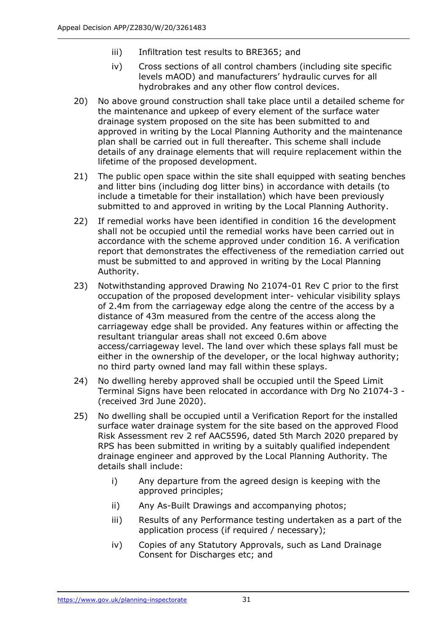- iii) Infiltration test results to BRE365; and
- iv) Cross sections of all control chambers (including site specific levels mAOD) and manufacturers' hydraulic curves for all hydrobrakes and any other flow control devices.
- 20) No above ground construction shall take place until a detailed scheme for the maintenance and upkeep of every element of the surface water drainage system proposed on the site has been submitted to and approved in writing by the Local Planning Authority and the maintenance plan shall be carried out in full thereafter. This scheme shall include details of any drainage elements that will require replacement within the lifetime of the proposed development.
- 21) The public open space within the site shall equipped with seating benches and litter bins (including dog litter bins) in accordance with details (to include a timetable for their installation) which have been previously submitted to and approved in writing by the Local Planning Authority.
- 22) If remedial works have been identified in condition 16 the development shall not be occupied until the remedial works have been carried out in accordance with the scheme approved under condition 16. A verification report that demonstrates the effectiveness of the remediation carried out must be submitted to and approved in writing by the Local Planning Authority.
- 23) Notwithstanding approved Drawing No 21074-01 Rev C prior to the first occupation of the proposed development inter- vehicular visibility splays of 2.4m from the carriageway edge along the centre of the access by a distance of 43m measured from the centre of the access along the carriageway edge shall be provided. Any features within or affecting the resultant triangular areas shall not exceed 0.6m above access/carriageway level. The land over which these splays fall must be either in the ownership of the developer, or the local highway authority; no third party owned land may fall within these splays.
- 24) No dwelling hereby approved shall be occupied until the Speed Limit Terminal Signs have been relocated in accordance with Drg No 21074-3 - (received 3rd June 2020).
- 25) No dwelling shall be occupied until a Verification Report for the installed surface water drainage system for the site based on the approved Flood Risk Assessment rev 2 ref AAC5596, dated 5th March 2020 prepared by RPS has been submitted in writing by a suitably qualified independent drainage engineer and approved by the Local Planning Authority. The details shall include:
	- i) Any departure from the agreed design is keeping with the approved principles;
	- ii) Any As-Built Drawings and accompanying photos;
	- iii) Results of any Performance testing undertaken as a part of the application process (if required / necessary);
	- iv) Copies of any Statutory Approvals, such as Land Drainage Consent for Discharges etc; and